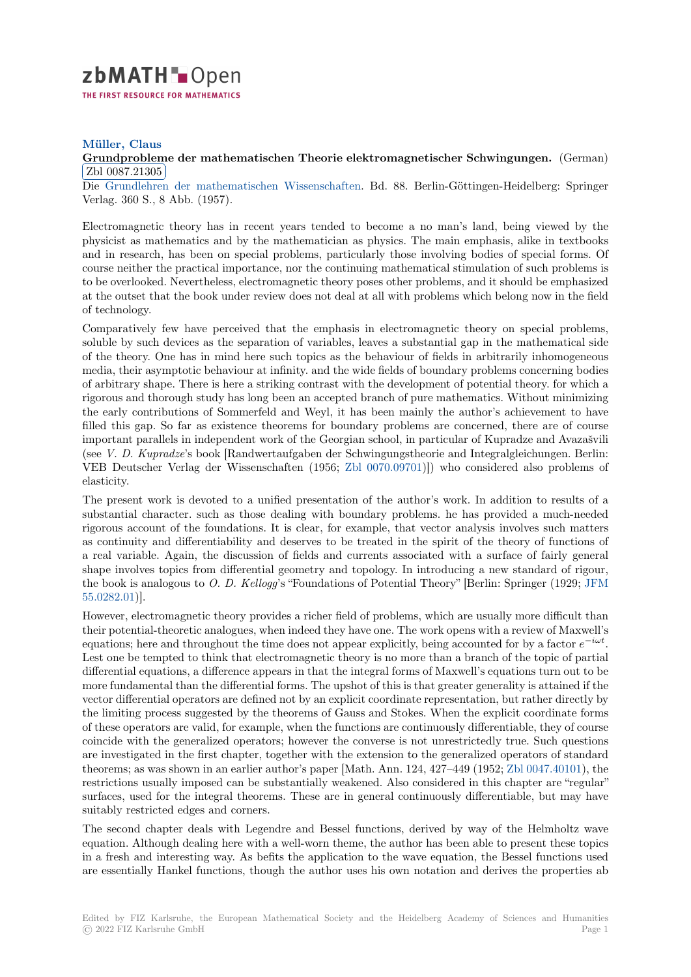

## **Müller, Claus**

## [G](https://zbmath.org/)rundprobleme der mathematischen Theorie elektromagnetischer Schwingungen. (German) Zbl 0087.21305

✂ ✁ Die Grundlehren der mathematischen Wissenschaften. Bd. 88. Berlin-Göttingen-Heidelberg: Springer [Verlag. 360 S., 8](https://zbmath.org/authors/?q=ai:muller.claus) Abb. (1957).

[Electromagnetic theory has in recent years tended to become a no man's land, being view](https://zbmath.org/0087.21305)ed by the phys[icist as mathematics and by the mathematician as](https://zbmath.org/journals/?q=se:3921) physics. The main emphasis, alike in textbooks and in research, has been on special problems, particularly those involving bodies of special forms. Of course neither the practical importance, nor the continuing mathematical stimulation of such problems is to be overlooked. Nevertheless, electromagnetic theory poses other problems, and it should be emphasized at the outset that the book under review does not deal at all with problems which belong now in the field of technology.

Comparatively few have perceived that the emphasis in electromagnetic theory on special problems, soluble by such devices as the separation of variables, leaves a substantial gap in the mathematical side of the theory. One has in mind here such topics as the behaviour of fields in arbitrarily inhomogeneous media, their asymptotic behaviour at infinity. and the wide fields of boundary problems concerning bodies of arbitrary shape. There is here a striking contrast with the development of potential theory. for which a rigorous and thorough study has long been an accepted branch of pure mathematics. Without minimizing the early contributions of Sommerfeld and Weyl, it has been mainly the author's achievement to have filled this gap. So far as existence theorems for boundary problems are concerned, there are of course important parallels in independent work of the Georgian school, in particular of Kupradze and Avazašvili (see *V. D. Kupradze*'s book [Randwertaufgaben der Schwingungstheorie and Integralgleichungen. Berlin: VEB Deutscher Verlag der Wissenschaften (1956; Zbl 0070.09701)]) who considered also problems of elasticity.

The present work is devoted to a unified presentation of the author's work. In addition to results of a substantial character. such as those dealing with boundary problems. he has provided a much-needed rigorous account of the foundations. It is clear, for [example, that v](https://zbmath.org/?q=an:0070.09701)ector analysis involves such matters as continuity and differentiability and deserves to be treated in the spirit of the theory of functions of a real variable. Again, the discussion of fields and currents associated with a surface of fairly general shape involves topics from differential geometry and topology. In introducing a new standard of rigour, the book is analogous to *O. D. Kellogg*'s "Foundations of Potential Theory" [Berlin: Springer (1929; JFM 55.0282.01)].

However, electromagnetic theory provides a richer field of problems, which are usually more difficult than their potential-theoretic analogues, when indeed they have one. The work opens with a review of Maxwell's equations; here and throughout the time does not appear explicitly, being accounted for by a factor *e −[iωt](https://zbmath.org/?q=an:55.0282.01)* . [Lest one be](https://zbmath.org/?q=an:55.0282.01) tempted to think that electromagnetic theory is no more than a branch of the topic of partial differential equations, a difference appears in that the integral forms of Maxwell's equations turn out to be more fundamental than the differential forms. The upshot of this is that greater generality is attained if the vector differential operators are defined not by an explicit coordinate representation, but rather directly by the limiting process suggested by the theorems of Gauss and Stokes. When the explicit coordinate forms of these operators are valid, for example, when the functions are continuously differentiable, they of course coincide with the generalized operators; however the converse is not unrestrictedly true. Such questions are investigated in the first chapter, together with the extension to the generalized operators of standard theorems; as was shown in an earlier author's paper [Math. Ann. 124, 427–449 (1952; Zbl 0047.40101), the restrictions usually imposed can be substantially weakened. Also considered in this chapter are "regular" surfaces, used for the integral theorems. These are in general continuously differentiable, but may have suitably restricted edges and corners.

The second chapter deals with Legendre and Bessel functions, derived by way of [the Helmholtz](https://zbmath.org/?q=an:0047.40101) wave equation. Although dealing here with a well-worn theme, the author has been able to present these topics in a fresh and interesting way. As befits the application to the wave equation, the Bessel functions used are essentially Hankel functions, though the author uses his own notation and derives the properties ab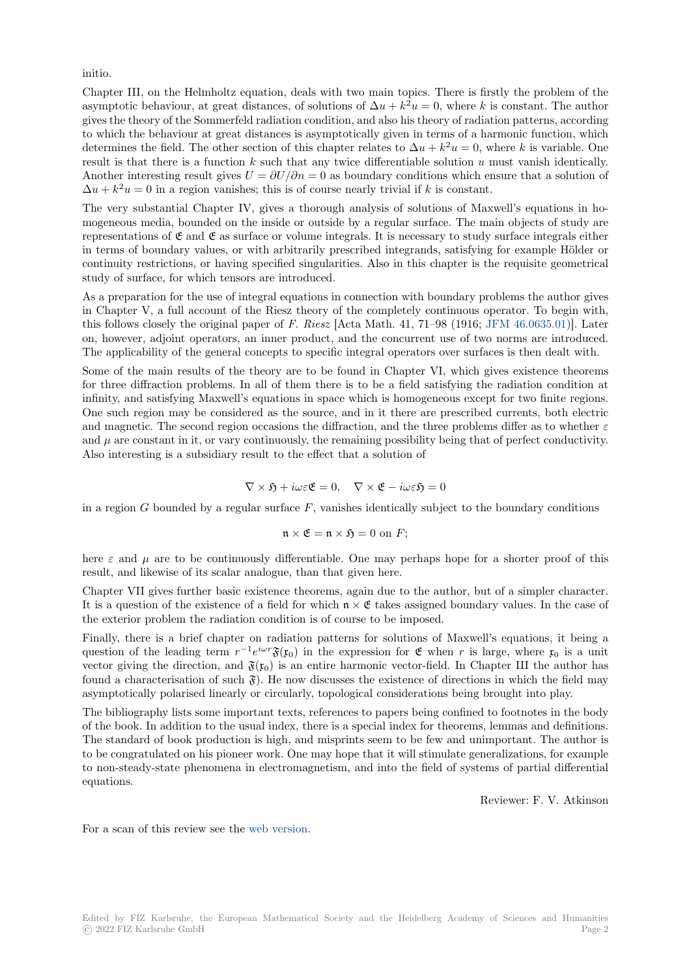initio.

Chapter III, on the Helmholtz equation, deals with two main topics. There is firstly the problem of the asymptotic behaviour, at great distances, of solutions of  $\Delta u + k^2 u = 0$ , where *k* is constant. The author gives the theory of the Sommerfeld radiation condition, and also his theory of radiation patterns, according to which the behaviour at great distances is asymptotically given in terms of a harmonic function, which determines the field. The other section of this chapter relates to  $\Delta u + k^2 u = 0$ , where *k* is variable. One result is that there is a function *k* such that any twice differentiable solution *u* must vanish identically. Another interesting result gives  $U = \frac{\partial U}{\partial n} = 0$  as boundary conditions which ensure that a solution of  $\Delta u + k^2 u = 0$  in a region vanishes; this is of course nearly trivial if *k* is constant.

The very substantial Chapter IV, gives a thorough analysis of solutions of Maxwell's equations in homogeneous media, bounded on the inside or outside by a regular surface. The main objects of study are representations of  $\mathfrak E$  and  $\mathfrak E$  as surface or volume integrals. It is necessary to study surface integrals either in terms of boundary values, or with arbitrarily prescribed integrands, satisfying for example Hölder or continuity restrictions, or having specified singularities. Also in this chapter is the requisite geometrical study of surface, for which tensors are introduced.

As a preparation for the use of integral equations in connection with boundary problems the author gives in Chapter V, a full account of the Riesz theory of the completely continuous operator. To begin with, this follows closely the original paper of *F. Riesz* [Acta Math. 41, 71–98 (1916; JFM 46.0635.01)]. Later on, however, adjoint operators, an inner product, and the concurrent use of two norms are introduced. The applicability of the general concepts to specific integral operators over surfaces is then dealt with.

Some of the main results of the theory are to be found in Chapter VI, which gives existence theorems for three diffraction problems. In all of them there is to be a field satisfying t[he radiation cond](https://zbmath.org/?q=an:46.0635.01)ition at infinity, and satisfying Maxwell's equations in space which is homogeneous except for two finite regions. One such region may be considered as the source, and in it there are prescribed currents, both electric and magnetic. The second region occasions the diffraction, and the three problems differ as to whether *ε* and  $\mu$  are constant in it, or vary continuously, the remaining possibility being that of perfect conductivity. Also interesting is a subsidiary result to the effect that a solution of

$$
\nabla \times \mathfrak{H} + i\omega \varepsilon \mathfrak{E} = 0, \quad \nabla \times \mathfrak{E} - i\omega \varepsilon \mathfrak{H} = 0
$$

in a region *G* bounded by a regular surface *F*, vanishes identically subject to the boundary conditions

$$
\mathfrak{n} \times \mathfrak{E} = \mathfrak{n} \times \mathfrak{H} = 0 \text{ on } F;
$$

here  $\varepsilon$  and  $\mu$  are to be continuously differentiable. One may perhaps hope for a shorter proof of this result, and likewise of its scalar analogue, than that given here.

Chapter VII gives further basic existence theorems, again due to the author, but of a simpler character. It is a question of the existence of a field for which  $\mathfrak{n} \times \mathfrak{E}$  takes assigned boundary values. In the case of the exterior problem the radiation condition is of course to be imposed.

Finally, there is a brief chapter on radiation patterns for solutions of Maxwell's equations, it being a question of the leading term  $r^{-1}e^{i\omega r}\mathfrak{F}(\mathfrak{x}_0)$  in the expression for  $\mathfrak{E}$  when *r* is large, where  $\mathfrak{x}_0$  is a unit vector giving the direction, and  $\mathfrak{F}(x_0)$  is an entire harmonic vector-field. In Chapter III the author has found a characterisation of such  $\mathfrak{F}$ ). He now discusses the existence of directions in which the field may asymptotically polarised linearly or circularly, topological considerations being brought into play.

The bibliography lists some important texts, references to papers being confined to footnotes in the body of the book. In addition to the usual index, there is a special index for theorems, lemmas and definitions. The standard of book production is high, and misprints seem to be few and unimportant. The author is to be congratulated on his pioneer work. One may hope that it will stimulate generalizations, for example to non-steady-state phenomena in electromagnetism, and into the field of systems of partial differential equations.

Reviewer: F. V. Atkinson

For a scan of this review see the web version.